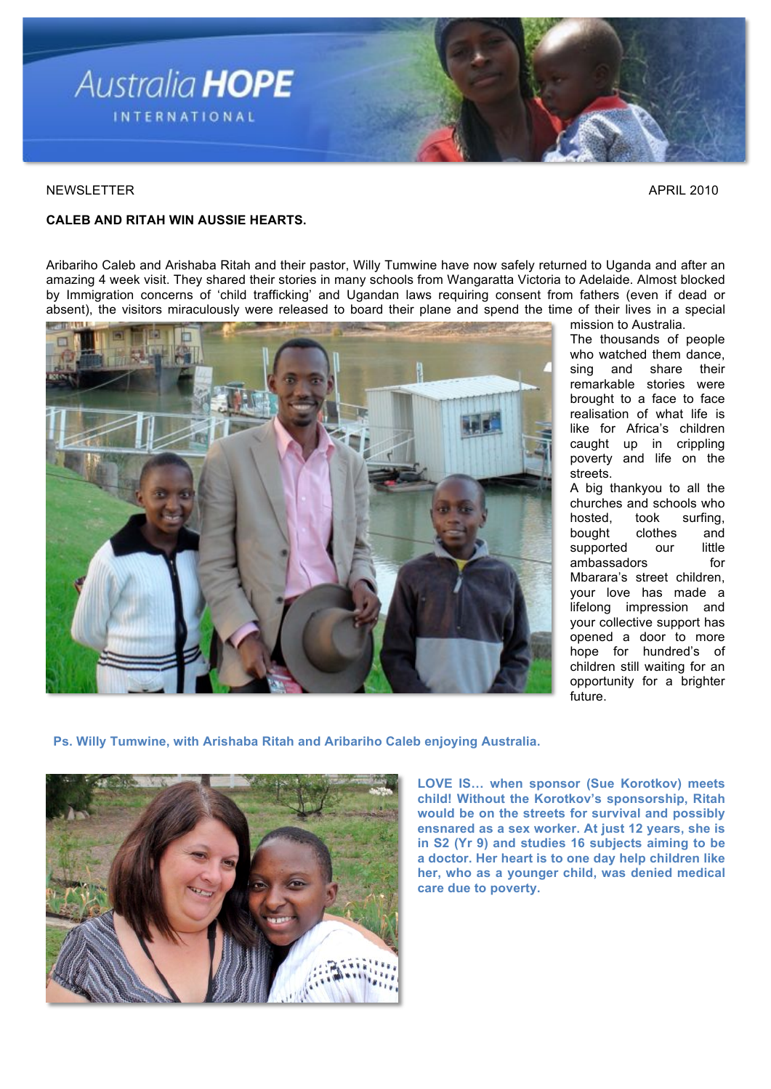

#### NEWSLETTER APRIL 2010

# **CALEB AND RITAH WIN AUSSIE HEARTS.**

Aribariho Caleb and Arishaba Ritah and their pastor, Willy Tumwine have now safely returned to Uganda and after an amazing 4 week visit. They shared their stories in many schools from Wangaratta Victoria to Adelaide. Almost blocked by Immigration concerns of 'child trafficking' and Ugandan laws requiring consent from fathers (even if dead or absent), the visitors miraculously were released to board their plane and spend the time of their lives in a special



mission to Australia. The thousands of people who watched them dance,<br>sing and share their sing and share remarkable stories were brought to a face to face realisation of what life is like for Africa's children caught up in crippling poverty and life on the streets.

A big thankyou to all the churches and schools who hosted, took surfing, bought clothes and supported our little ambassadors for Mbarara's street children, your love has made a lifelong impression and your collective support has opened a door to more hope for hundred's of children still waiting for an opportunity for a brighter future.

 **Ps. Willy Tumwine, with Arishaba Ritah and Aribariho Caleb enjoying Australia.**



**LOVE IS… when sponsor (Sue Korotkov) meets child! Without the Korotkov's sponsorship, Ritah would be on the streets for survival and possibly ensnared as a sex worker. At just 12 years, she is in S2 (Yr 9) and studies 16 subjects aiming to be a doctor. Her heart is to one day help children like her, who as a younger child, was denied medical care due to poverty.**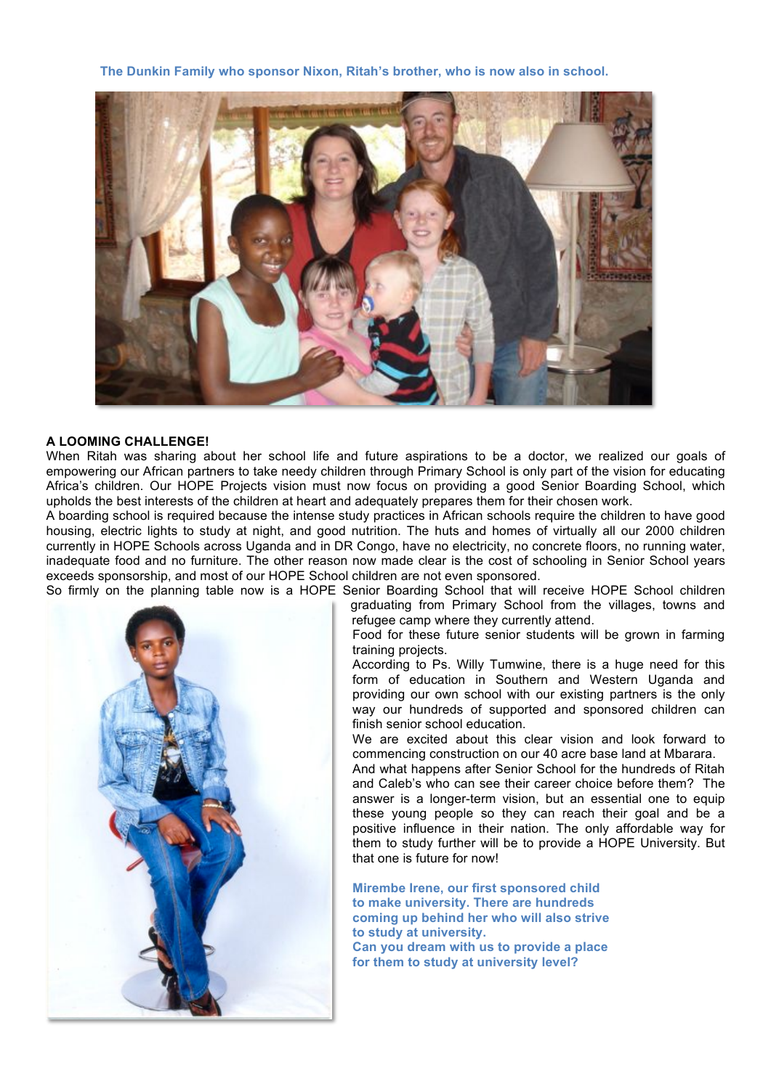**The Dunkin Family who sponsor Nixon, Ritah's brother, who is now also in school.**



#### **A LOOMING CHALLENGE!**

When Ritah was sharing about her school life and future aspirations to be a doctor, we realized our goals of empowering our African partners to take needy children through Primary School is only part of the vision for educating Africa's children. Our HOPE Projects vision must now focus on providing a good Senior Boarding School, which upholds the best interests of the children at heart and adequately prepares them for their chosen work.

A boarding school is required because the intense study practices in African schools require the children to have good housing, electric lights to study at night, and good nutrition. The huts and homes of virtually all our 2000 children currently in HOPE Schools across Uganda and in DR Congo, have no electricity, no concrete floors, no running water, inadequate food and no furniture. The other reason now made clear is the cost of schooling in Senior School years exceeds sponsorship, and most of our HOPE School children are not even sponsored.

So firmly on the planning table now is a HOPE Senior Boarding School that will receive HOPE School children



graduating from Primary School from the villages, towns and refugee camp where they currently attend.

Food for these future senior students will be grown in farming training projects.

According to Ps. Willy Tumwine, there is a huge need for this form of education in Southern and Western Uganda and providing our own school with our existing partners is the only way our hundreds of supported and sponsored children can finish senior school education.

We are excited about this clear vision and look forward to commencing construction on our 40 acre base land at Mbarara.

And what happens after Senior School for the hundreds of Ritah and Caleb's who can see their career choice before them? The answer is a longer-term vision, but an essential one to equip these young people so they can reach their goal and be a positive influence in their nation. The only affordable way for them to study further will be to provide a HOPE University. But that one is future for now!

**Mirembe Irene, our first sponsored child to make university. There are hundreds coming up behind her who will also strive to study at university. Can you dream with us to provide a place for them to study at university level?**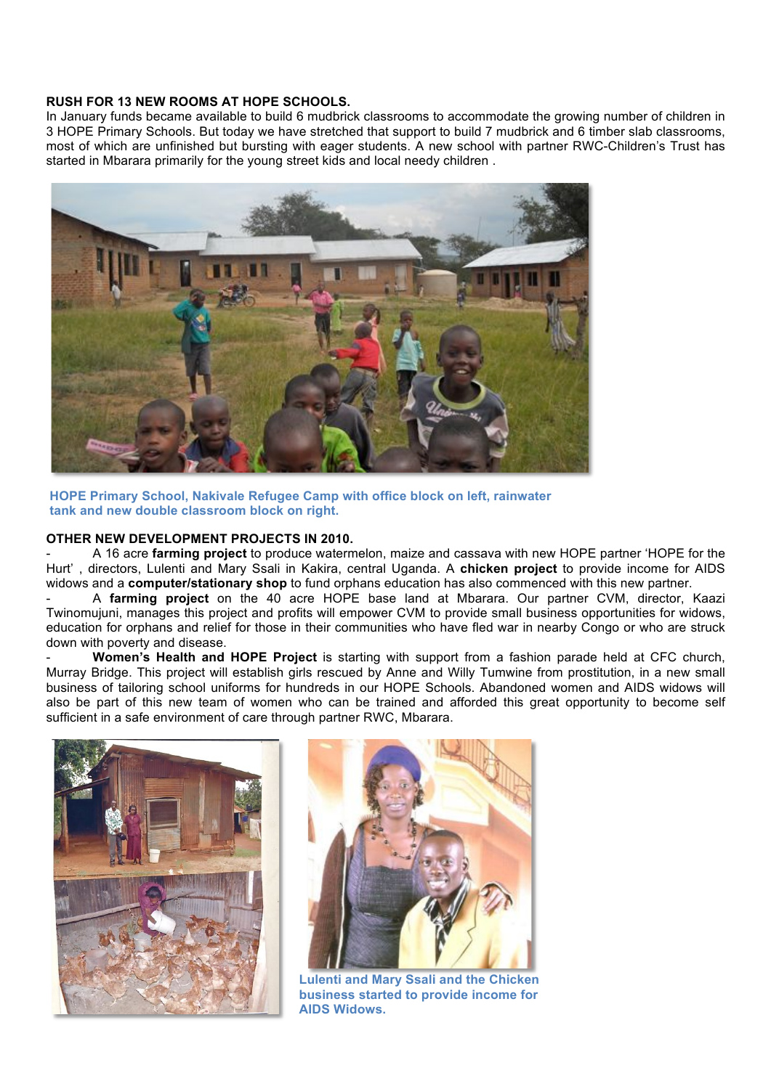### **RUSH FOR 13 NEW ROOMS AT HOPE SCHOOLS.**

In January funds became available to build 6 mudbrick classrooms to accommodate the growing number of children in 3 HOPE Primary Schools. But today we have stretched that support to build 7 mudbrick and 6 timber slab classrooms, most of which are unfinished but bursting with eager students. A new school with partner RWC-Children's Trust has started in Mbarara primarily for the young street kids and local needy children .



**HOPE Primary School, Nakivale Refugee Camp with office block on left, rainwater tank and new double classroom block on right.**

## **OTHER NEW DEVELOPMENT PROJECTS IN 2010.**

- A 16 acre **farming project** to produce watermelon, maize and cassava with new HOPE partner 'HOPE for the Hurt' , directors, Lulenti and Mary Ssali in Kakira, central Uganda. A **chicken project** to provide income for AIDS widows and a **computer/stationary shop** to fund orphans education has also commenced with this new partner.

- A **farming project** on the 40 acre HOPE base land at Mbarara. Our partner CVM, director, Kaazi Twinomujuni, manages this project and profits will empower CVM to provide small business opportunities for widows, education for orphans and relief for those in their communities who have fled war in nearby Congo or who are struck down with poverty and disease.

- **Women's Health and HOPE Project** is starting with support from a fashion parade held at CFC church, Murray Bridge. This project will establish girls rescued by Anne and Willy Tumwine from prostitution, in a new small business of tailoring school uniforms for hundreds in our HOPE Schools. Abandoned women and AIDS widows will also be part of this new team of women who can be trained and afforded this great opportunity to become self sufficient in a safe environment of care through partner RWC, Mbarara.





**Lulenti and Mary Ssali and the Chicken business started to provide income for AIDS Widows.**